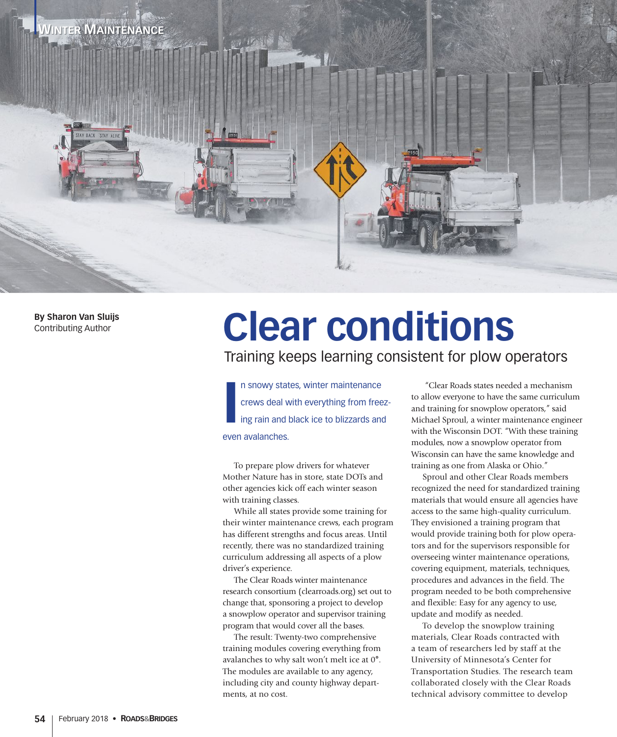

**By Sharon Van Sluijs** Contributing Author

## **Clear conditions**

## Training keeps learning consistent for plow operators

**I** n snowy states, winter maintenance crews deal with everything from freezing rain and black ice to blizzards and even avalanches.

To prepare plow drivers for whatever Mother Nature has in store, state DOTs and other agencies kick off each winter season with training classes.

While all states provide some training for their winter maintenance crews, each program has different strengths and focus areas. Until recently, there was no standardized training curriculum addressing all aspects of a plow driver's experience.

The Clear Roads winter maintenance research consortium (clearroads.org) set out to change that, sponsoring a project to develop a snowplow operator and supervisor training program that would cover all the bases.

The result: Twenty-two comprehensive training modules covering everything from avalanches to why salt won't melt ice at 0**°**. The modules are available to any agency, including city and county highway departments, at no cost.

 "Clear Roads states needed a mechanism to allow everyone to have the same curriculum and training for snowplow operators," said Michael Sproul, a winter maintenance engineer with the Wisconsin DOT. "With these training modules, now a snowplow operator from Wisconsin can have the same knowledge and training as one from Alaska or Ohio."

Sproul and other Clear Roads members recognized the need for standardized training materials that would ensure all agencies have access to the same high-quality curriculum. They envisioned a training program that would provide training both for plow operators and for the supervisors responsible for overseeing winter maintenance operations, covering equipment, materials, techniques, procedures and advances in the field. The program needed to be both comprehensive and flexible: Easy for any agency to use, update and modify as needed.

To develop the snowplow training materials, Clear Roads contracted with a team of researchers led by staff at the University of Minnesota's Center for Transportation Studies. The research team collaborated closely with the Clear Roads technical advisory committee to develop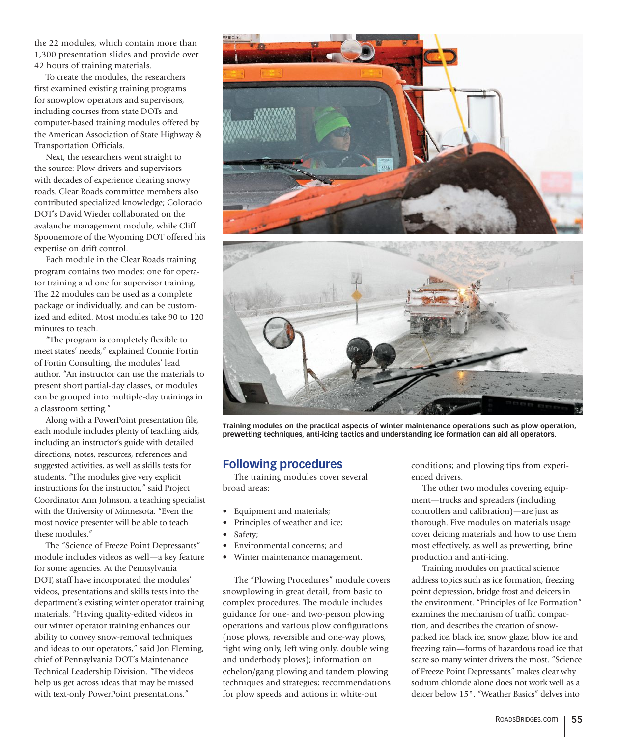the 22 modules, which contain more than 1,300 presentation slides and provide over 42 hours of training materials.

To create the modules, the researchers first examined existing training programs for snowplow operators and supervisors, including courses from state DOTs and computer-based training modules offered by the American Association of State Highway & Transportation Officials.

Next, the researchers went straight to the source: Plow drivers and supervisors with decades of experience clearing snowy roads. Clear Roads committee members also contributed specialized knowledge; Colorado DOT's David Wieder collaborated on the avalanche management module, while Cliff Spoonemore of the Wyoming DOT offered his expertise on drift control.

Each module in the Clear Roads training program contains two modes: one for operator training and one for supervisor training. The 22 modules can be used as a complete package or individually, and can be customized and edited. Most modules take 90 to 120 minutes to teach.

"The program is completely flexible to meet states' needs," explained Connie Fortin of Fortin Consulting, the modules' lead author. "An instructor can use the materials to present short partial-day classes, or modules can be grouped into multiple-day trainings in a classroom setting."

Along with a PowerPoint presentation file, each module includes plenty of teaching aids, including an instructor's guide with detailed directions, notes, resources, references and suggested activities, as well as skills tests for students. "The modules give very explicit instructions for the instructor," said Project Coordinator Ann Johnson, a teaching specialist with the University of Minnesota. "Even the most novice presenter will be able to teach these modules."

The "Science of Freeze Point Depressants" module includes videos as well—a key feature for some agencies. At the Pennsylvania DOT, staff have incorporated the modules' videos, presentations and skills tests into the department's existing winter operator training materials. "Having quality-edited videos in our winter operator training enhances our ability to convey snow-removal techniques and ideas to our operators," said Jon Fleming, chief of Pennsylvania DOT's Maintenance Technical Leadership Division. "The videos help us get across ideas that may be missed with text-only PowerPoint presentations."





**Training modules on the practical aspects of winter maintenance operations such as plow operation, prewetting techniques, anti-icing tactics and understanding ice formation can aid all operators.**

## **Following procedures**

The training modules cover several broad areas:

- Equipment and materials;
- Principles of weather and ice;
- Safety;
- Environmental concerns; and
- Winter maintenance management.

The "Plowing Procedures" module covers snowplowing in great detail, from basic to complex procedures. The module includes guidance for one- and two-person plowing operations and various plow configurations (nose plows, reversible and one-way plows, right wing only, left wing only, double wing and underbody plows); information on echelon/gang plowing and tandem plowing techniques and strategies; recommendations for plow speeds and actions in white-out

conditions; and plowing tips from experienced drivers.

The other two modules covering equipment—trucks and spreaders (including controllers and calibration)—are just as thorough. Five modules on materials usage cover deicing materials and how to use them most effectively, as well as prewetting, brine production and anti-icing.

Training modules on practical science address topics such as ice formation, freezing point depression, bridge frost and deicers in the environment. "Principles of Ice Formation" examines the mechanism of traffic compaction, and describes the creation of snowpacked ice, black ice, snow glaze, blow ice and freezing rain—forms of hazardous road ice that scare so many winter drivers the most. "Science of Freeze Point Depressants" makes clear why sodium chloride alone does not work well as a deicer below 15°. "Weather Basics" delves into